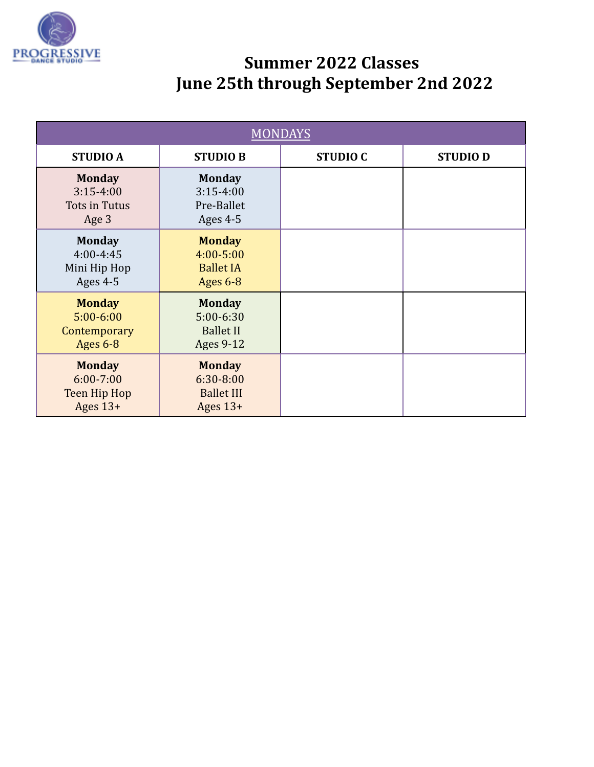

| <b>MONDAYS</b>                                               |                                                                        |                 |                |
|--------------------------------------------------------------|------------------------------------------------------------------------|-----------------|----------------|
| <b>STUDIO A</b>                                              | <b>STUDIO B</b>                                                        | <b>STUDIO C</b> | <b>STUDIOD</b> |
| <b>Monday</b><br>$3:15-4:00$<br>Tots in Tutus<br>Age 3       | <b>Monday</b><br>$3:15-4:00$<br>Pre-Ballet<br>Ages 4-5                 |                 |                |
| <b>Monday</b><br>4:00-4:45<br>Mini Hip Hop<br>Ages 4-5       | <b>Monday</b><br>$4:00 - 5:00$<br><b>Ballet IA</b><br>Ages $6-8$       |                 |                |
| <b>Monday</b><br>$5:00 - 6:00$<br>Contemporary<br>Ages 6-8   | <b>Monday</b><br>$5:00 - 6:30$<br><b>Ballet II</b><br><b>Ages 9-12</b> |                 |                |
| <b>Monday</b><br>$6:00 - 7:00$<br>Teen Hip Hop<br>Ages $13+$ | <b>Monday</b><br>6:30-8:00<br><b>Ballet III</b><br>Ages $13+$          |                 |                |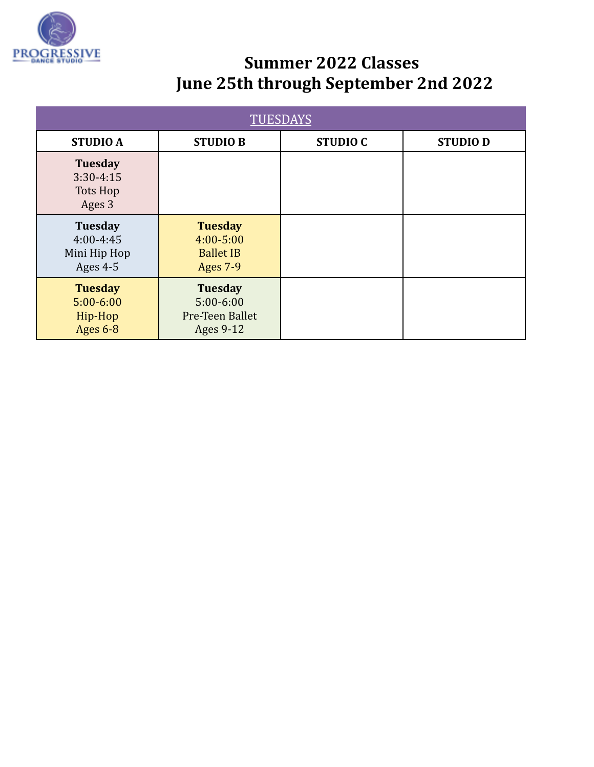

| <b>TUESDAYS</b>                                               |                                                                        |                 |                |
|---------------------------------------------------------------|------------------------------------------------------------------------|-----------------|----------------|
| <b>STUDIO A</b>                                               | <b>STUDIO B</b>                                                        | <b>STUDIO C</b> | <b>STUDIOD</b> |
| <b>Tuesday</b><br>$3:30-4:15$<br><b>Tots Hop</b><br>Ages 3    |                                                                        |                 |                |
| <b>Tuesday</b><br>$4:00 - 4:45$<br>Mini Hip Hop<br>Ages $4-5$ | <b>Tuesday</b><br>$4:00 - 5:00$<br><b>Ballet IB</b><br><b>Ages 7-9</b> |                 |                |
| <b>Tuesday</b><br>$5:00 - 6:00$<br>Hip-Hop<br><b>Ages 6-8</b> | <b>Tuesday</b><br>$5:00 - 6:00$<br>Pre-Teen Ballet<br>Ages 9-12        |                 |                |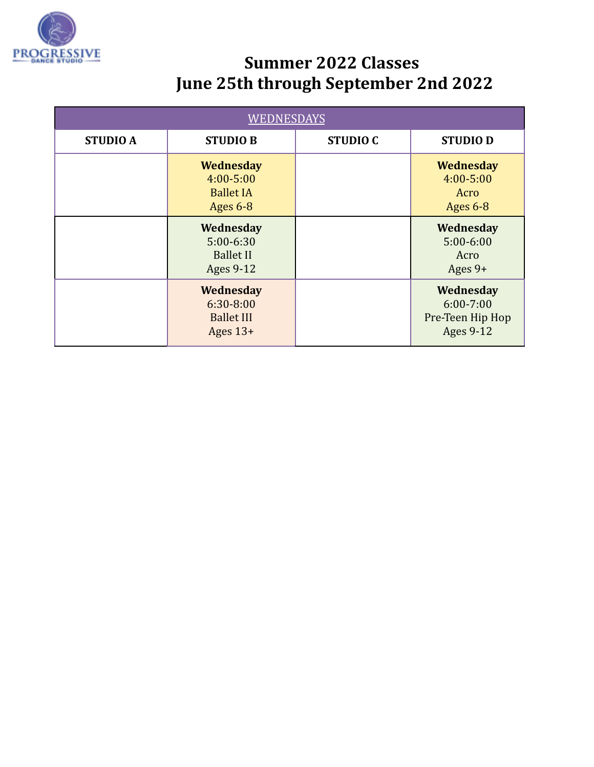

| <b>WEDNESDAYS</b> |                                                                     |                 |                                                                    |
|-------------------|---------------------------------------------------------------------|-----------------|--------------------------------------------------------------------|
| <b>STUDIO A</b>   | <b>STUDIO B</b>                                                     | <b>STUDIO C</b> | <b>STUDIOD</b>                                                     |
|                   | <b>Wednesday</b><br>$4:00 - 5:00$<br><b>Ballet IA</b><br>Ages $6-8$ |                 | <b>Wednesday</b><br>$4:00 - 5:00$<br>Acro<br>Ages 6-8              |
|                   | Wednesday<br>$5:00-6:30$<br><b>Ballet II</b><br>Ages 9-12           |                 | Wednesday<br>$5:00 - 6:00$<br>Acro<br>Ages $9+$                    |
|                   | Wednesday<br>$6:30 - 8:00$<br><b>Ballet III</b><br>Ages $13+$       |                 | Wednesday<br>$6:00 - 7:00$<br>Pre-Teen Hip Hop<br><b>Ages 9-12</b> |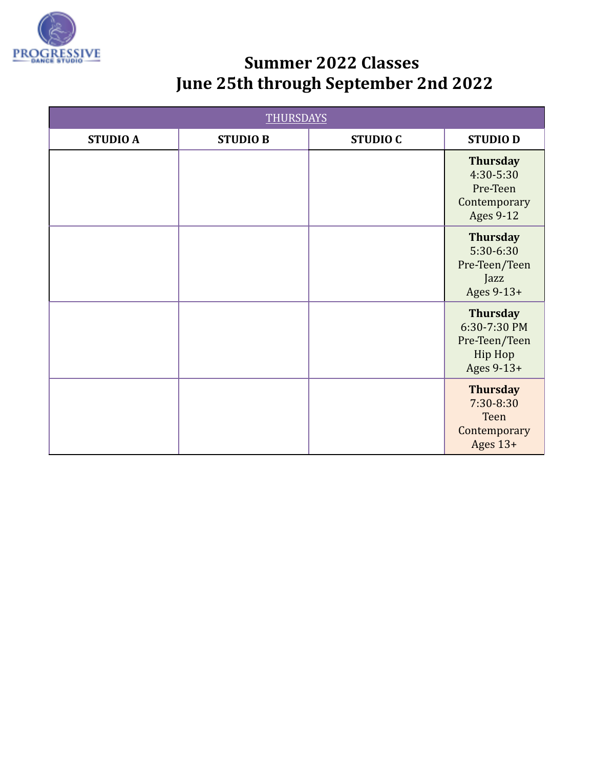

| <b>THURSDAYS</b> |                 |                 |                                                                              |
|------------------|-----------------|-----------------|------------------------------------------------------------------------------|
| <b>STUDIO A</b>  | <b>STUDIO B</b> | <b>STUDIO C</b> | <b>STUDIOD</b>                                                               |
|                  |                 |                 | <b>Thursday</b><br>4:30-5:30<br>Pre-Teen<br>Contemporary<br><b>Ages 9-12</b> |
|                  |                 |                 | <b>Thursday</b><br>5:30-6:30<br>Pre-Teen/Teen<br>Jazz<br>Ages 9-13+          |
|                  |                 |                 | <b>Thursday</b><br>6:30-7:30 PM<br>Pre-Teen/Teen<br>Hip Hop<br>Ages 9-13+    |
|                  |                 |                 | <b>Thursday</b><br>7:30-8:30<br><b>Teen</b><br>Contemporary<br>Ages $13+$    |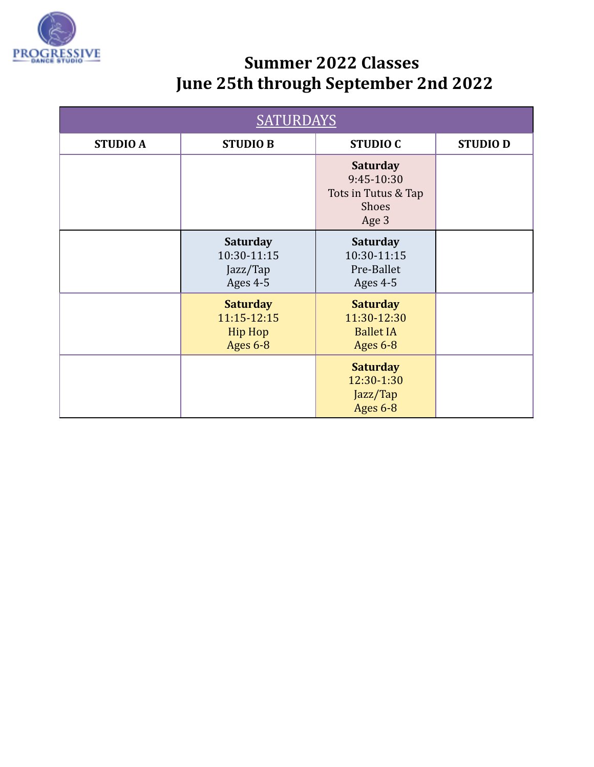

| <b>SATURDAYS</b> |                                                              |                                                                        |                |
|------------------|--------------------------------------------------------------|------------------------------------------------------------------------|----------------|
| <b>STUDIO A</b>  | <b>STUDIO B</b>                                              | <b>STUDIO C</b>                                                        | <b>STUDIOD</b> |
|                  |                                                              | <b>Saturday</b><br>9:45-10:30<br>Tots in Tutus & Tap<br>Shoes<br>Age 3 |                |
|                  | <b>Saturday</b><br>10:30-11:15<br>Jazz/Tap<br>Ages 4-5       | <b>Saturday</b><br>10:30-11:15<br>Pre-Ballet<br>Ages 4-5               |                |
|                  | <b>Saturday</b><br>11:15-12:15<br><b>Hip Hop</b><br>Ages 6-8 | <b>Saturday</b><br>11:30-12:30<br><b>Ballet IA</b><br>Ages 6-8         |                |
|                  |                                                              | <b>Saturday</b><br>12:30-1:30<br>Jazz/Tap<br>Ages 6-8                  |                |